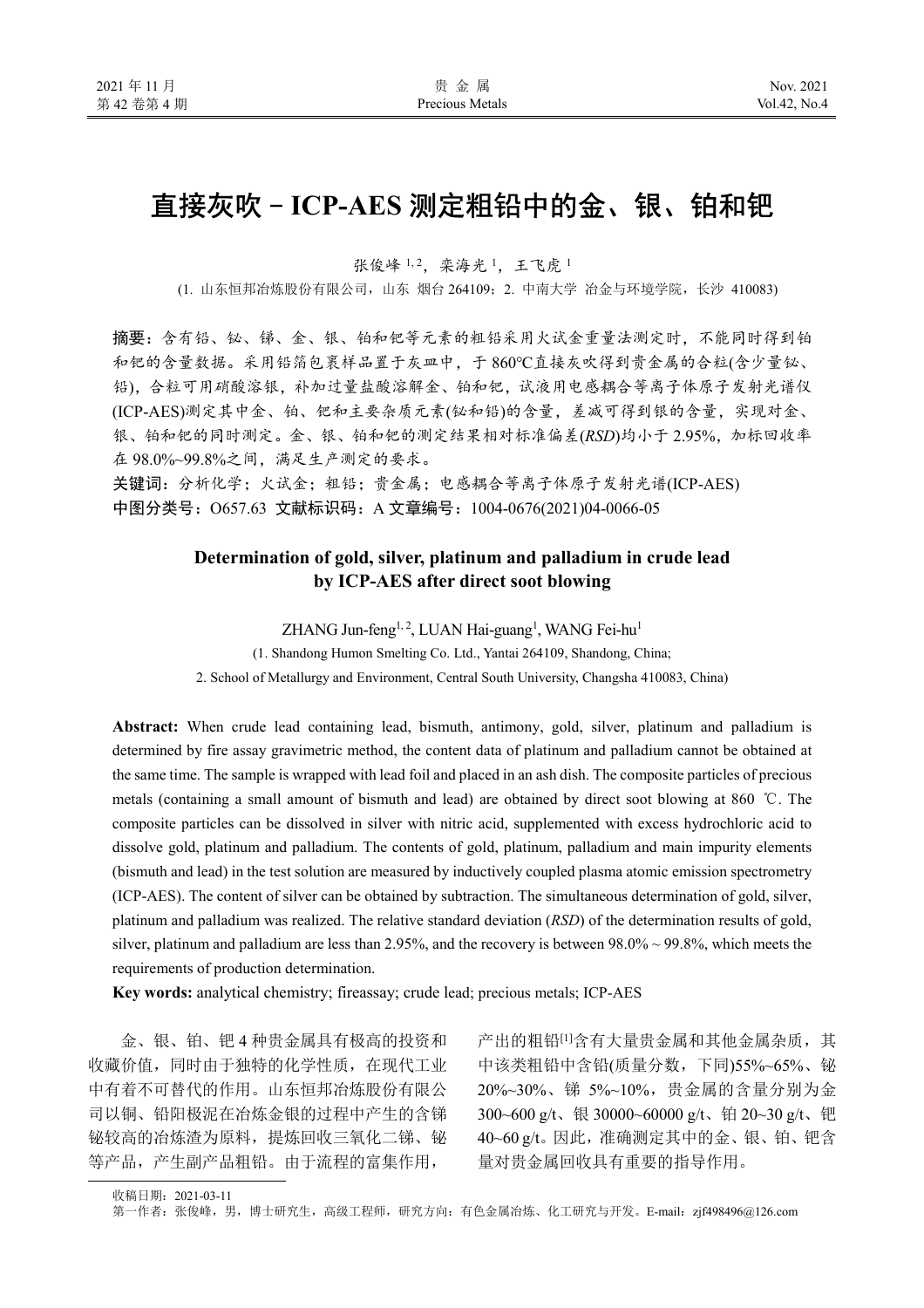# 直接灰吹-ICP-AES 测定粗铅中的金、银、铂和钯

张俊峰 1,2. 栾海光 1, 王飞虎 1

(1. 山东恒邦冶炼股份有限公司,山东 烟台 264109;2. 中南大学 冶金与环境学院,长沙 410083)

摘要:含有铅、铋、锑、金、银、铂和钯等元素的粗铅采用火试金重量法测定时,不能同时得到铂 和钯的含量数据。采用铅箔包裹样品置于灰皿中,于 860℃直接灰吹得到贵金属的合粒(含少量铋、 铅),合粒可用硝酸溶银,补加过量盐酸溶解金、铂和钯,试液用电感耦合等离子体原子发射光谱仪 (ICP-AES)测定其中金、铂、钯和主要杂质元素(铋和铅)的含量,差减可得到银的含量,实现对金、 银、铂和钯的同时测定。金、银、铂和钯的测定结果相对标准偏差(RSD)均小于 2.95%, 加标回收率 在 98.0%~99.8%之间,满足生产测定的要求。

关键词: 分析化学;火试金;粗铅;贵金属;电感耦合等离子体原子发射光谱(ICP-AES) 中图分类号: O657.63 文献标识码: A 文章编号: 1004-0676(2021)04-0066-05

# **Determination of gold, silver, platinum and palladium in crude lead by ICP-AES after direct soot blowing**

ZHANG Jun-feng<sup>1, 2</sup>, LUAN Hai-guang<sup>1</sup>, WANG Fei-hu<sup>1</sup>

(1. Shandong Humon Smelting Co. Ltd., Yantai 264109, Shandong, China;

2. School of Metallurgy and Environment, Central South University, Changsha 410083, China)

**Abstract:** When crude lead containing lead, bismuth, antimony, gold, silver, platinum and palladium is determined by fire assay gravimetric method, the content data of platinum and palladium cannot be obtained at the same time. The sample is wrapped with lead foil and placed in an ash dish. The composite particles of precious metals (containing a small amount of bismuth and lead) are obtained by direct soot blowing at 860 ℃. The composite particles can be dissolved in silver with nitric acid, supplemented with excess hydrochloric acid to dissolve gold, platinum and palladium. The contents of gold, platinum, palladium and main impurity elements (bismuth and lead) in the test solution are measured by inductively coupled plasma atomic emission spectrometry (ICP-AES). The content of silver can be obtained by subtraction. The simultaneous determination of gold, silver, platinum and palladium was realized. The relative standard deviation (*RSD*) of the determination results of gold, silver, platinum and palladium are less than 2.95%, and the recovery is between 98.0% ~ 99.8%, which meets the requirements of production determination.

**Key words:** analytical chemistry; fireassay; crude lead; precious metals; ICP-AES

金、银、铂、钯 4 种贵金属具有极高的投资和 收藏价值,同时由于独特的化学性质,在现代工业 中有着不可替代的作用。山东恒邦冶炼股份有限公 司以铜、铅阳极泥在冶炼金银的过程中产生的含锑 铋较高的冶炼渣为原料,提炼回收三氧化二锑、铋 等产品,产生副产品粗铅。由于流程的富集作用,

产出的粗铅[1]含有大量贵金属和其他金属杂质,其 中该类粗铅中含铅(质量分数,下同)55%~65%、铋 20%~30%、锑 5%~10%,贵金属的含量分别为金 300~600 g/t、银 30000~60000 g/t、铂 20~30 g/t、钯 40~60 g/t。因此,准确测定其中的金、银、铂、钯含 量对贵金属回收具有重要的指导作用。

收稿日期:2021-03-11

第一作者: 张俊峰, 男, 博士研究生, 高级工程师, 研究方向: 有色金属冶炼、化工研究与开发。E-mail: zjf498496@126.com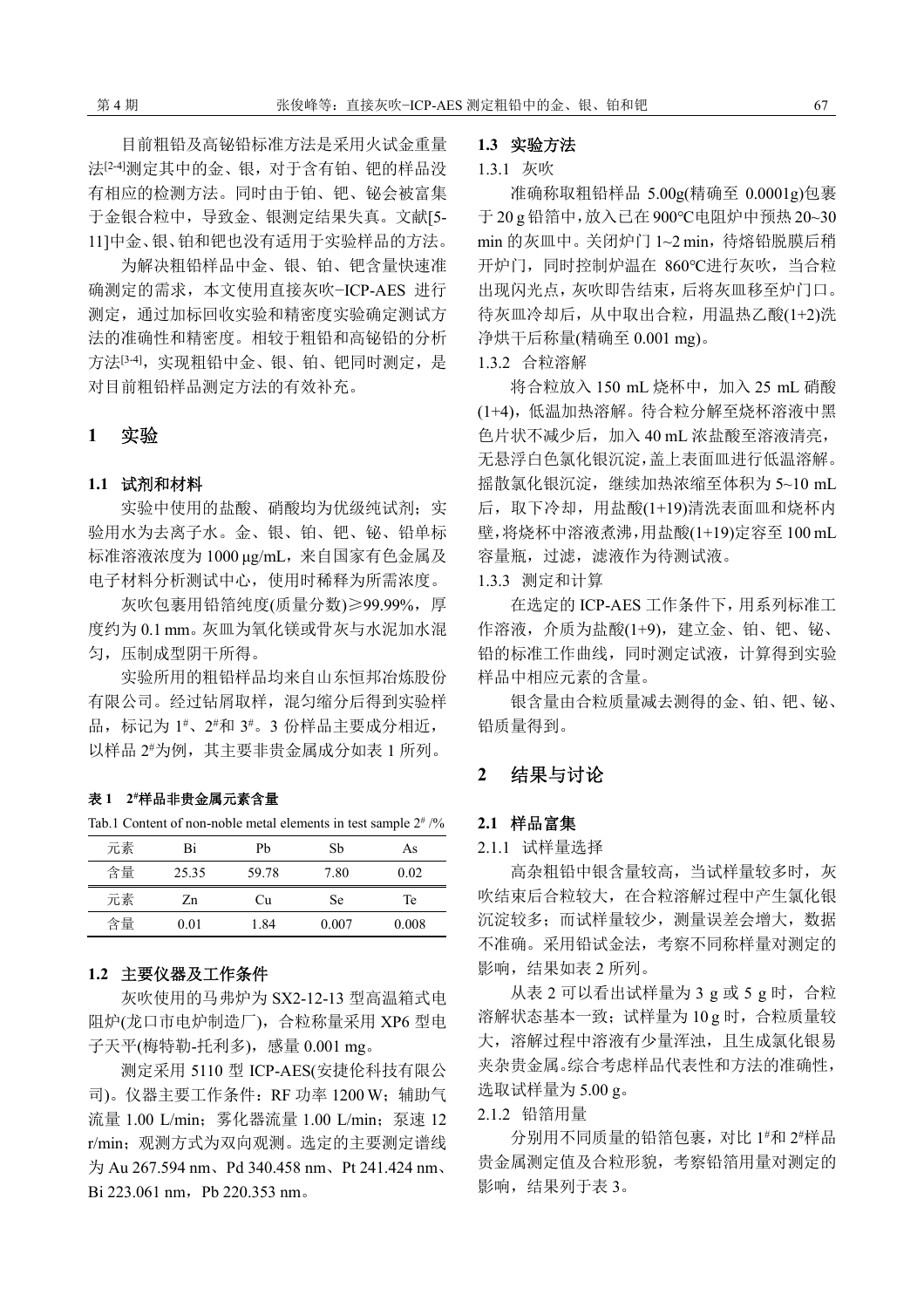目前粗铅及高铋铅标准方法是采用火试金重量 法<sup>[2-4]</sup>测定其中的金、银,对于含有铂、钯的样品没 有相应的检测方法。同时由于铂、钯、铋会被富集 于金银合粒中,导致金、银测定结果失真。文献[5- 11]中金、银、铂和钯也没有适用于实验样品的方法。

为解决粗铅样品中金、银、铂、钯含量快速准 确测定的需求,本文使用直接灰吹−ICP-AES 进行 测定,通过加标回收实验和精密度实验确定测试方 法的准确性和精密度。相较于粗铅和高铋铅的分析 方法<sup>[3-4]</sup>,实现粗铅中金、银、铂、钯同时测定,是 对目前粗铅样品测定方法的有效补充。

# **1** 实验

## **1.1** 试剂和材料

实验中使用的盐酸、硝酸均为优级纯试剂;实 验用水为去离子水。金、银、铂、钯、铋、铅单标 标准溶液浓度为 1000 μg/mL,来自国家有色金属及 电子材料分析测试中心,使用时稀释为所需浓度。

灰吹包裹用铅箔纯度(质量分数)≥99.99%,厚 度约为 0.1 mm。灰皿为氧化镁或骨灰与水泥加水混 匀,压制成型阴干所得。

实验所用的粗铅样品均来自山东恒邦冶炼股份 有限公司。经过钻屑取样,混匀缩分后得到实验样 品,标记为 1\*、2\*和 3\*。3 份样品主要成分相近, 以样品 2 #为例,其主要非贵金属成分如表 1 所列。

## 表 **1 2#**样品非贵金属元素含量

Tab.1 Content of non-noble metal elements in test sample  $2^{\#}/\%$ 

| 元素 | Bi    | Pb    | Sh        | As    |
|----|-------|-------|-----------|-------|
| 含量 | 25.35 | 59.78 | 7.80      | 0.02  |
| 元素 | Zn    | Сu    | <b>Se</b> | Te    |
| 含量 | 0.01  | 1.84  | 0.007     | 0.008 |

## **1.2** 主要仪器及工作条件

灰吹使用的马弗炉为 SX2-12-13 型高温箱式电 阻炉(龙口市电炉制造厂),合粒称量采用 XP6 型电 子天平(梅特勒-托利多), 感量 0.001 mg。

测定采用 5110 型 ICP-AES(安捷伦科技有限公 司)。仪器主要工作条件:RF 功率 1200 W;辅助气 流量 1.00 L/min; 雾化器流量 1.00 L/min; 泵速 12 r/min;观测方式为双向观测。选定的主要测定谱线 为 Au 267.594 nm、Pd 340.458 nm、Pt 241.424 nm、 Bi 223.061 nm, Pb 220.353 nm。

## **1.3** 实验方法

## 1.3.1 灰吹

准确称取粗铅样品 5.00g(精确至 0.0001g)包裹 于 20 g 铅箔中,放入已在 900℃电阻炉中预热 20~30 min 的灰皿中。关闭炉门 1~2 min,待熔铅脱膜后稍 开炉门,同时控制炉温在 860℃进行灰吹,当合粒 出现闪光点,灰吹即告结束,后将灰皿移至炉门口。 待灰皿冷却后,从中取出合粒,用温热乙酸(1+2)洗 净烘干后称量(精确至 0.001 mg)。

1.3.2 合粒溶解

将合粒放入 150 mL 烧杯中, 加入 25 mL 硝酸 (1+4),低温加热溶解。待合粒分解至烧杯溶液中黑 色片状不减少后,加入 40 mL 浓盐酸至溶液清亮, 无悬浮白色氯化银沉淀,盖上表面皿进行低温溶解。 摇散氯化银沉淀,继续加热浓缩至体积为 5~10 mL 后,取下冷却,用盐酸(1+19)清洗表面皿和烧杯内 壁,将烧杯中溶液煮沸,用盐酸(1+19)定容至 100 mL 容量瓶,过滤,滤液作为待测试液。

1.3.3 测定和计算

在选定的 ICP-AES 工作条件下,用系列标准工 作溶液,介质为盐酸(1+9),建立金、铂、钯、铋、 铅的标准工作曲线,同时测定试液,计算得到实验 样品中相应元素的含量。

银含量由合粒质量减去测得的金、铂、钯、铋、 铅质量得到。

## **2** 结果与讨论

## **2.1** 样品富集

2.1.1 试样量选择

高杂粗铅中银含量较高,当试样量较多时,灰 吹结束后合粒较大,在合粒溶解过程中产生氯化银 沉淀较多;而试样量较少,测量误差会增大,数据 不准确。采用铅试金法,考察不同称样量对测定的 影响,结果如表 2 所列。

从表 2 可以看出试样量为 3 g 或 5 g 时, 合粒 溶解状态基本一致;试样量为 10 g 时,合粒质量较 大,溶解过程中溶液有少量浑浊,且生成氯化银易 夹杂贵金属。综合考虑样品代表性和方法的准确性, 选取试样量为 5.00 g。

2.1.2 铅箔用量

分别用不同质量的铅箔包裹,对比 1 #和 2 #样品 贵金属测定值及合粒形貌,考察铅箔用量对测定的 影响,结果列于表 3。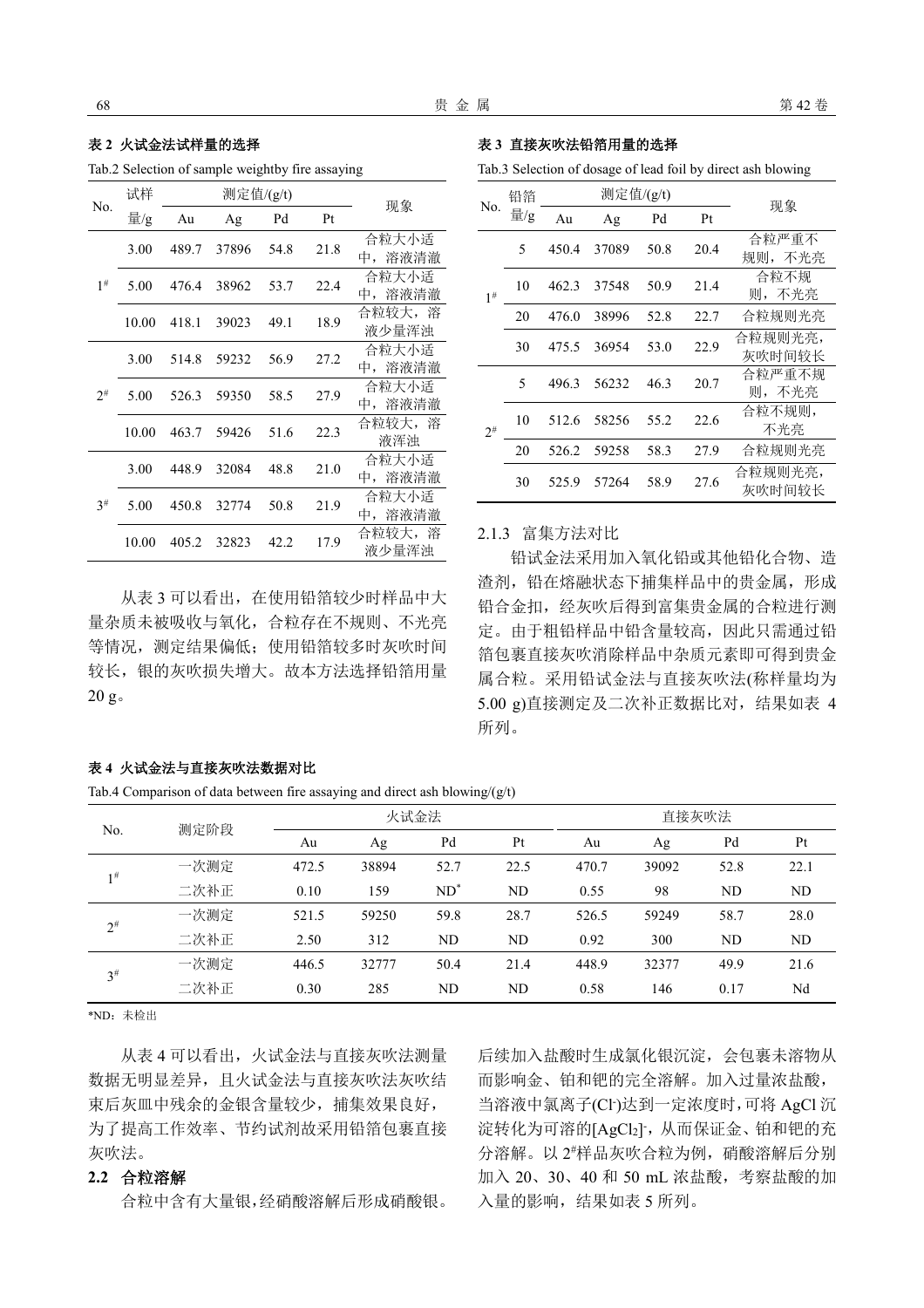## 表 **2** 火试金法试样量的选择

Tab.2 Selection of sample weightby fire assaying

| No.      | 试样    |       | 测定值/(g/t) |      |      |                     |
|----------|-------|-------|-----------|------|------|---------------------|
|          | 量/g   | Au    | Ag        | Pd   | Pt   | 现象                  |
|          | 3.00  | 489.7 | 37896     | 54.8 | 21.8 | 合粒大小适<br>中,溶液清澈     |
| $1^{\#}$ | 5.00  | 476.4 | 38962     | 53.7 | 22.4 | 合粒大小适<br>溶液清澈<br>中, |
|          | 10.00 | 418.1 | 39023     | 49.1 | 18.9 | 合粒较大,溶<br>液少量浑浊     |
|          | 3.00  | 514.8 | 59232     | 56.9 | 27.2 | 合粒大小适<br>中,溶液清澈     |
| $2^{\#}$ | 5.00  | 526.3 | 59350     | 58.5 | 27.9 | 合粒大小适<br>溶液清澈<br>中, |
|          | 10.00 | 463.7 | 59426     | 51.6 | 22.3 | 合粒较大,溶<br>液浑浊       |
|          | 3.00  | 448.9 | 32084     | 48.8 | 21.0 | 合粒大小适<br>中,溶液清澈     |
| $3^{\#}$ | 5.00  | 450.8 | 32774     | 50.8 | 21.9 | 合粒大小适<br>溶液清澈<br>中, |
|          | 10.00 | 405.2 | 32823     | 42.2 | 17.9 | 合粒较大,溶<br>液少量浑浊     |

从表 3 可以看出, 在使用铅箔较少时样品中大 量杂质未被吸收与氧化,合粒存在不规则、不光亮 等情况,测定结果偏低;使用铅箔较多时灰吹时间 较长,银的灰吹损失增大。故本方法选择铅箔用量 20 g。

#### 表 **3** 直接灰吹法铅箔用量的选择

Tab.3 Selection of dosage of lead foil by direct ash blowing

| 铅箔<br>No. |     | 测定值/(g/t) |       |      |      | 现象                  |  |
|-----------|-----|-----------|-------|------|------|---------------------|--|
|           | 量/g | Au        | Ag    | Pd   | Pt   |                     |  |
|           | 5   | 450.4     | 37089 | 50.8 | 20.4 | 合粒严重不<br>不光亮<br>规则, |  |
| $1^{\#}$  | 10  | 462.3     | 37548 | 50.9 | 21.4 | 合粒不规<br>不光亮<br>则,   |  |
|           | 20  | 476.0     | 38996 | 52.8 | 22.7 | 合粒规则光亮              |  |
|           | 30  | 475.5     | 36954 | 53.0 | 22.9 | 合粒规则光亮,<br>灰吹时间较长   |  |
|           | 5   | 496.3     | 56232 | 46.3 | 20.7 | 合粒严重不规<br>则,不光亮     |  |
| $2^{\#}$  | 10  | 512.6     | 58256 | 55.2 | 22.6 | 合粒不规则,<br>不光亮       |  |
|           | 20  | 526.2     | 59258 | 58.3 | 27.9 | 合粒规则光亮              |  |
|           | 30  | 525.9     | 57264 | 58.9 | 27.6 | 合粒规则光亮,<br>灰吹时间较长   |  |

#### 2.1.3 富集方法对比

铅试金法采用加入氧化铅或其他铅化合物、造 渣剂,铅在熔融状态下捕集样品中的贵金属,形成 铅合金扣,经灰吹后得到富集贵金属的合粒进行测 定。由于粗铅样品中铅含量较高,因此只需通过铅 箔包裹直接灰吹消除样品中杂质元素即可得到贵金 属合粒。采用铅试金法与直接灰吹法(称样量均为 5.00 g)直接测定及二次补正数据比对,结果如表 4 所列。

#### 表 **4** 火试金法与直接灰吹法数据对比

Tab.4 Comparison of data between fire assaying and direct ash blowing/ $(g/t)$ 

|          | 测定阶段 | 火试金法  |       |        | 直接灰吹法 |       |       |      |      |
|----------|------|-------|-------|--------|-------|-------|-------|------|------|
| No.      |      | Au    | Ag    | Pd     | Pt    | Au    | Ag    | Pd   | Pt   |
| $1^{\#}$ | 一次测定 | 472.5 | 38894 | 52.7   | 22.5  | 470.7 | 39092 | 52.8 | 22.1 |
|          | 二次补正 | 0.10  | 159   | $ND^*$ | ND    | 0.55  | 98    | ND   | ND   |
| $2^{\#}$ | 一次测定 | 521.5 | 59250 | 59.8   | 28.7  | 526.5 | 59249 | 58.7 | 28.0 |
|          | 二次补正 | 2.50  | 312   | ND     | ND    | 0.92  | 300   | ND   | ND   |
| $3^{\#}$ | 一次测定 | 446.5 | 32777 | 50.4   | 21.4  | 448.9 | 32377 | 49.9 | 21.6 |
|          | 二次补正 | 0.30  | 285   | ND     | ND    | 0.58  | 146   | 0.17 | Nd   |

\*ND:未检出

从表 4 可以看出, 火试金法与直接灰吹法测量 数据无明显差异,且火试金法与直接灰吹法灰吹结 束后灰皿中残余的金银含量较少,捕集效果良好, 为了提高工作效率、节约试剂故采用铅箔包裹直接 灰吹法。

#### **2.2** 合粒溶解

合粒中含有大量银,经硝酸溶解后形成硝酸银。

后续加入盐酸时生成氯化银沉淀,会包裹未溶物从 而影响金、铂和钯的完全溶解。加入过量浓盐酸, 当溶液中氯离子(Cl- )达到一定浓度时,可将 AgCl 沉 淀转化为可溶的[AgCl2],从而保证金、铂和钯的充 分溶解。以 2 #样品灰吹合粒为例,硝酸溶解后分别 加入 20、30、40 和 50 mL 浓盐酸,考察盐酸的加 入量的影响,结果如表 5 所列。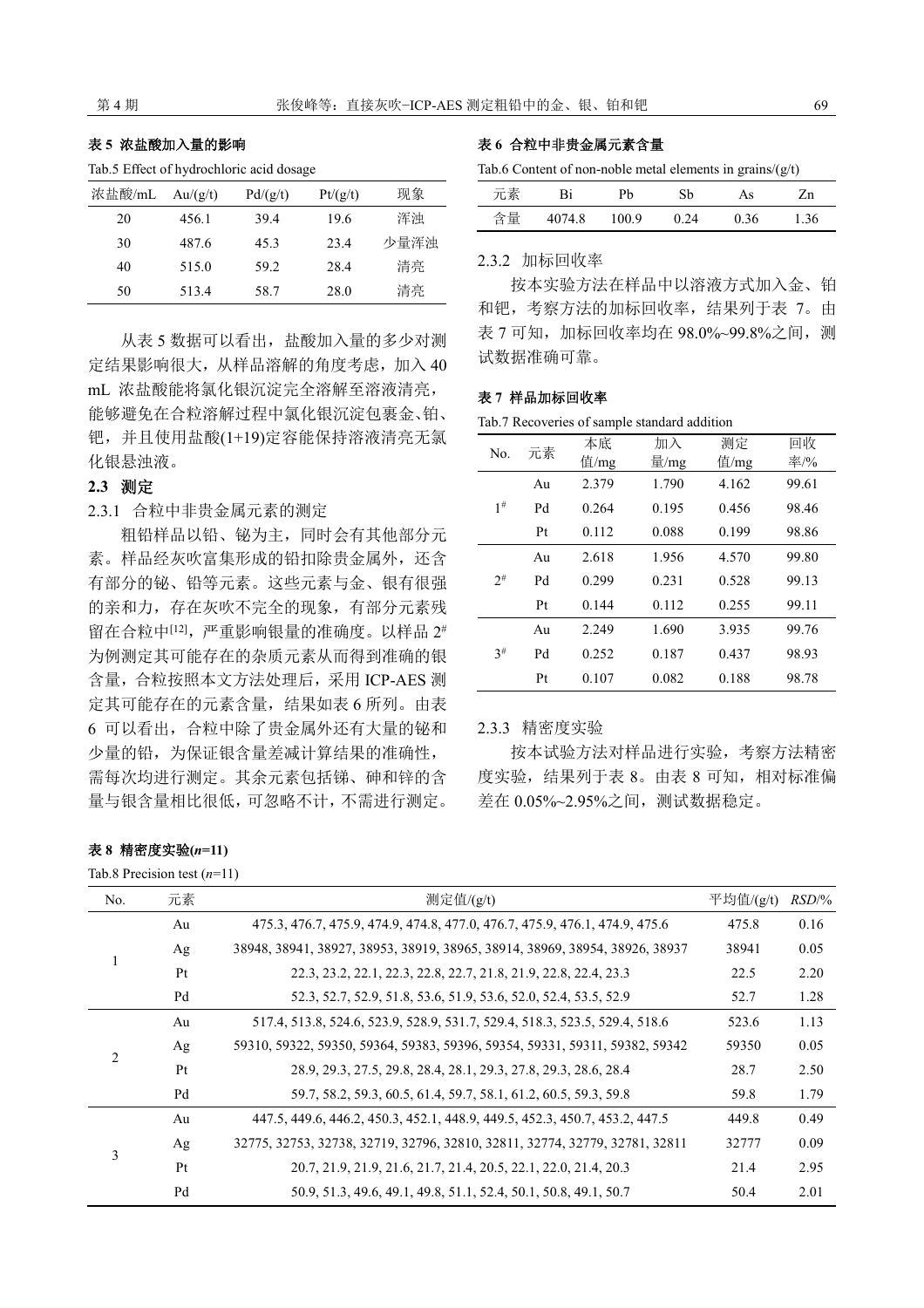## 表 **5** 浓盐酸加入量的影响

Tab.5 Effect of hydrochloric acid dosage

| 浓盐酸/mL | Au/(g/t) | Pd/(g/t) | Pt/(g/t) | 现象   |
|--------|----------|----------|----------|------|
| 20     | 456.1    | 39.4     | 19.6     | 浑浊   |
| 30     | 487.6    | 45.3     | 23.4     | 少量浑浊 |
| 40     | 515.0    | 59.2     | 28.4     | 清亮   |
| 50     | 513.4    | 58.7     | 28.0     | 清亮   |

从表 5 数据可以看出, 盐酸加入量的多少对测 定结果影响很大,从样品溶解的角度考虑,加入 40 mL 浓盐酸能将氯化银沉淀完全溶解至溶液清亮, 能够避免在合粒溶解过程中氯化银沉淀包裹金、铂、 钯,并且使用盐酸(1+19)定容能保持溶液清亮无氯 化银悬浊液。

## **2.3** 测定

2.3.1 合粒中非贵金属元素的测定

粗铅样品以铅、铋为主,同时会有其他部分元 素。样品经灰吹富集形成的铅扣除贵金属外,还含 有部分的铋、铅等元素。这些元素与金、银有很强 的亲和力,存在灰吹不完全的现象,有部分元素残 留在合粒中[12],严重影响银量的准确度。以样品 2# 为例测定其可能存在的杂质元素从而得到准确的银 含量,合粒按照本文方法处理后,采用 ICP-AES 测 定其可能存在的元素含量,结果如表 6 所列。由表 6 可以看出,合粒中除了贵金属外还有大量的铋和 少量的铅,为保证银含量差减计算结果的准确性, 需每次均进行测定。其余元素包括锑、砷和锌的含 量与银含量相比很低,可忽略不计,不需进行测定。

## 表 **6** 合粒中非贵金属元素含量

| Tab.6 Content of non-noble metal elements in grains/ $(g/t)$ |  |  |  |
|--------------------------------------------------------------|--|--|--|
|--------------------------------------------------------------|--|--|--|

| 元素 | Bi     | Ph    | Sb   | As   | $\frac{1}{n}$ |
|----|--------|-------|------|------|---------------|
| 含量 | 4074.8 | 100.9 | 0.24 | 0.36 | 1.36          |

#### 2.3.2 加标回收率

按本实验方法在样品中以溶液方式加入金、铂 和钯,考察方法的加标回收率,结果列于表 7。由 表 7 可知, 加标回收率均在 98.0%~99.8%之间, 测 试数据准确可靠。

#### 表 **7** 样品加标回收率

Tab.7 Recoveries of sample standard addition

| No.      | 元素 | 本底    | 加入    | 测定    | 回收    |
|----------|----|-------|-------|-------|-------|
|          |    | 值/mg  | 量/mg  | 值/mg  | 率/%   |
|          | Au | 2.379 | 1.790 | 4.162 | 99.61 |
| $1^{\#}$ | Pd | 0.264 | 0.195 | 0.456 | 98.46 |
|          | Pt | 0.112 | 0.088 | 0.199 | 98.86 |
|          | Au | 2.618 | 1.956 | 4.570 | 99.80 |
| $2^{\#}$ | Pd | 0.299 | 0.231 | 0.528 | 99.13 |
|          | Pt | 0.144 | 0.112 | 0.255 | 99.11 |
|          | Au | 2.249 | 1.690 | 3.935 | 99.76 |
| $3^{\#}$ | Pd | 0.252 | 0.187 | 0.437 | 98.93 |
|          | Pt | 0.107 | 0.082 | 0.188 | 98.78 |

2.3.3 精密度实验

按本试验方法对样品进行实验,考察方法精密 度实验,结果列于表 8。由表 8 可知,相对标准偏 差在 0.05%~2.95%之间,测试数据稳定。

| 表 8 精密度实验(n=11) |  |
|-----------------|--|
|-----------------|--|

Tab.8 Precision test (*n*=11)

| No.                           | 元素 | 测定值/(g/t)                                                                   | 平均值/ $(g/t)$ | RSD/% |
|-------------------------------|----|-----------------------------------------------------------------------------|--------------|-------|
|                               | Au | 475.3, 476.7, 475.9, 474.9, 474.8, 477.0, 476.7, 475.9, 476.1, 474.9, 475.6 | 475.8        | 0.16  |
|                               | Ag | 38948, 38941, 38927, 38953, 38919, 38965, 38914, 38969, 38954, 38926, 38937 | 38941        | 0.05  |
|                               | Pt | 22.3, 23.2, 22.1, 22.3, 22.8, 22.7, 21.8, 21.9, 22.8, 22.4, 23.3            | 22.5         | 2.20  |
|                               | Pd | 52.3, 52.7, 52.9, 51.8, 53.6, 51.9, 53.6, 52.0, 52.4, 53.5, 52.9            | 52.7         | 1.28  |
|                               | Au | 517.4, 513.8, 524.6, 523.9, 528.9, 531.7, 529.4, 518.3, 523.5, 529.4, 518.6 | 523.6        | 1.13  |
| $\mathfrak{D}_{\mathfrak{p}}$ | Ag | 59310, 59322, 59350, 59364, 59383, 59396, 59354, 59331, 59311, 59382, 59342 | 59350        | 0.05  |
|                               | Pt | 28.9, 29.3, 27.5, 29.8, 28.4, 28.1, 29.3, 27.8, 29.3, 28.6, 28.4            | 28.7         | 2.50  |
|                               | Pd | 59.7, 58.2, 59.3, 60.5, 61.4, 59.7, 58.1, 61.2, 60.5, 59.3, 59.8            | 59.8         | 1.79  |
|                               | Au | 447.5, 449.6, 446.2, 450.3, 452.1, 448.9, 449.5, 452.3, 450.7, 453.2, 447.5 | 449.8        | 0.49  |
| 3                             | Ag | 32775, 32753, 32738, 32719, 32796, 32810, 32811, 32774, 32779, 32781, 32811 | 32777        | 0.09  |
|                               | Pt | 20.7, 21.9, 21.9, 21.6, 21.7, 21.4, 20.5, 22.1, 22.0, 21.4, 20.3            | 21.4         | 2.95  |
|                               | Pd | 50.9, 51.3, 49.6, 49.1, 49.8, 51.1, 52.4, 50.1, 50.8, 49.1, 50.7            | 50.4         | 2.01  |